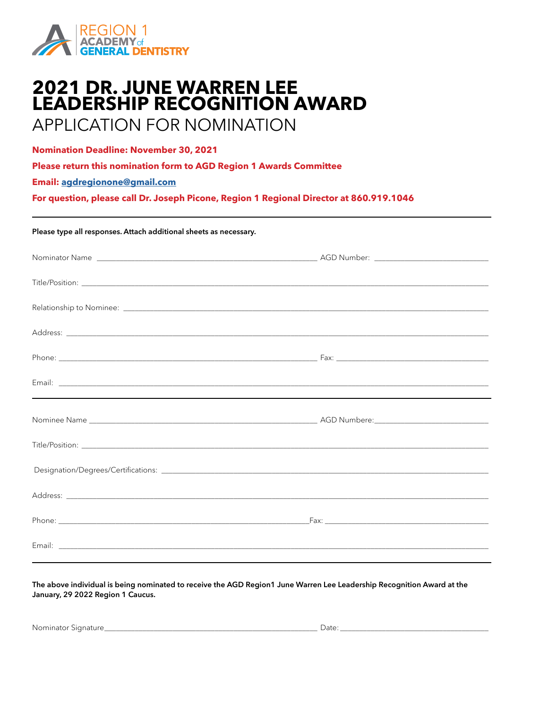

## **2021 DR. JUNE WARREN LEE LEADERSHIP RECOGNITION AWARD**

## APPLICATION FOR NOMINATION

**Nomination Deadline: November 30, 2021**

**Please return this nomination form to AGD Region 1 Awards Committee**

**Email: [agdregionone@gmail.com](mailto:agdregionone%40gmail.com?subject=Dr%20June%20Warren%20Lee%20Leadership%20Recognition%20Award)**

**For question, please call Dr. Joseph Picone, Region 1 Regional Director at 860.919.1046**

Please type all responses. Attach additional sheets as necessary.

The above individual is being nominated to receive the AGD Region1 June Warren Lee Leadership Recognition Award at the January, 29 2022 Region 1 Caucus.

Nominator Signature\_\_\_\_\_\_\_\_\_\_\_\_\_\_\_\_\_\_\_\_\_\_\_\_\_\_\_\_\_\_\_\_\_\_\_\_\_\_\_\_\_\_\_\_\_\_\_\_\_\_\_\_\_\_\_\_ Date: \_\_\_\_\_\_\_\_\_\_\_\_\_\_\_\_\_\_\_\_\_\_\_\_\_\_\_\_\_\_\_\_\_\_\_\_\_\_\_